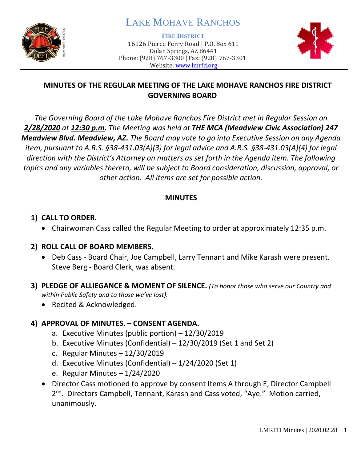

# LAKE MOHAVE RANCHOS

**FIRE DISTRICT**

16126 Pierce Ferry Road | P.O. Box 611 Dolan Springs, AZ 86441 Phone: (928) 767-3300 | Fax: (928) 767-3301 Website: [www.lmrfd.org](http://www.lmrfd.org/)



## **MINUTES OF THE REGULAR MEETING OF THE LAKE MOHAVE RANCHOS FIRE DISTRICT GOVERNING BOARD**

*The Governing Board of the Lake Mohave Ranchos Fire District met in Regular Session on 2/28/2020 at 12:30 p.m. The Meeting was held at THE MCA (Meadview Civic Association) 247 Meadview Blvd. Meadview, AZ. The Board may vote to go into Executive Session on any Agenda item, pursuant to A.R.S. §38-431.03(A)(3) for legal advice and A.R.S. §38-431.03(A)(4) for legal direction with the District's Attorney on matters as set forth in the Agenda item. The following topics and any variables thereto, will be subject to Board consideration, discussion, approval, or other action. All items are set for possible action.* 

#### **MINUTES**

## **1) CALL TO ORDER.**

• Chairwoman Cass called the Regular Meeting to order at approximately 12:35 p.m.

## **2) ROLL CALL OF BOARD MEMBERS.**

- Deb Cass Board Chair, Joe Campbell, Larry Tennant and Mike Karash were present. Steve Berg - Board Clerk, was absent.
- **3) PLEDGE OF ALLIEGANCE & MOMENT OF SILENCE.** *(To honor those who serve our Country and within Public Safety and to those we've lost).*
	- Recited & Acknowledged.

## **4) APPROVAL OF MINUTES. – CONSENT AGENDA.**

- a. Executive Minutes (public portion) 12/30/2019
- b. Executive Minutes (Confidential) 12/30/2019 (Set 1 and Set 2)
- c. Regular Minutes 12/30/2019
- d. Executive Minutes (Confidential) 1/24/2020 (Set 1)
- e. Regular Minutes 1/24/2020
- Director Cass motioned to approve by consent Items A through E, Director Campbell 2<sup>nd</sup>. Directors Campbell, Tennant, Karash and Cass voted, "Aye." Motion carried, unanimously.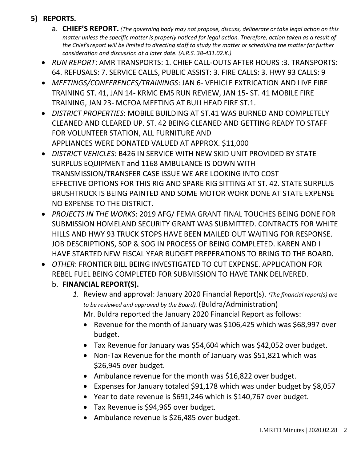# **5) REPORTS.**

- a. **CHIEF'S REPORT.** *(The governing body may not propose, discuss, deliberate or take legal action on this matter unless the specific matter is properly noticed for legal action. Therefore, action taken as a result of the Chief's report will be limited to directing staff to study the matter or scheduling the matter for further consideration and discussion at a later date. (A.R.S. 38-431.02.K.)*
- *RUN REPORT*: AMR TRANSPORTS: 1. CHIEF CALL-OUTS AFTER HOURS :3. TRANSPORTS: 64. REFUSALS: 7. SERVICE CALLS, PUBLIC ASSIST: 3. FIRE CALLS: 3. HWY 93 CALLS: 9
- *MEETINGS/CONFERENCES/TRAININGS*: JAN 6- VEHICLE EXTRICATION AND LIVE FIRE TRAINING ST. 41, JAN 14- KRMC EMS RUN REVIEW, JAN 15- ST. 41 MOBILE FIRE TRAINING, JAN 23- MCFOA MEETING AT BULLHEAD FIRE ST.1.
- *DISTRICT PROPERTIES*: MOBILE BUILDING AT ST.41 WAS BURNED AND COMPLETELY CLEANED AND CLEARED UP. ST. 42 BEING CLEANED AND GETTING READY TO STAFF FOR VOLUNTEER STATION, ALL FURNITURE AND APPLIANCES WERE DONATED VALUED AT APPROX. \$11,000
- *DISTRICT VEHICLES*: B426 IN SERVICE WITH NEW SKID UNIT PROVIDED BY STATE SURPLUS EQUIPMENT and 1168 AMBULANCE IS DOWN WITH TRANSMISSION/TRANSFER CASE ISSUE WE ARE LOOKING INTO COST EFFECTIVE OPTIONS FOR THIS RIG AND SPARE RIG SITTING AT ST. 42. STATE SURPLUS BRUSHTRUCK IS BEING PAINTED AND SOME MOTOR WORK DONE AT STATE EXPENSE NO EXPENSE TO THE DISTRICT.
- *PROJECTS IN THE WORKS*: 2019 AFG/ FEMA GRANT FINAL TOUCHES BEING DONE FOR SUBMISSION HOMELAND SECURITY GRANT WAS SUBMITTED. CONTRACTS FOR WHITE HILLS AND HWY 93 TRUCK STOPS HAVE BEEN MAILED OUT WAITING FOR RESPONSE. JOB DESCRIPTIONS, SOP & SOG IN PROCESS OF BEING COMPLETED. KAREN AND I HAVE STARTED NEW FISCAL YEAR BUDGET PREPERATIONS TO BRING TO THE BOARD.
- *OTHER*: FRONTIER BILL BEING INVESTIGATED TO CUT EXPENSE. APPLICATION FOR REBEL FUEL BEING COMPLETED FOR SUBMISSION TO HAVE TANK DELIVERED.
	- b. **FINANCIAL REPORT(S).**
		- *1.* Review and approval: January 2020 Financial Report(s). *(The financial report(s) are to be reviewed and approved by the Board).* (Buldra/Administration) Mr. Buldra reported the January 2020 Financial Report as follows:
			- Revenue for the month of January was \$106,425 which was \$68,997 over budget.
			- Tax Revenue for January was \$54,604 which was \$42,052 over budget.
			- Non-Tax Revenue for the month of January was \$51,821 which was \$26,945 over budget.
			- Ambulance revenue for the month was \$16,822 over budget.
			- Expenses for January totaled \$91,178 which was under budget by \$8,057
			- Year to date revenue is \$691,246 which is \$140,767 over budget.
			- Tax Revenue is \$94,965 over budget.
			- Ambulance revenue is \$26,485 over budget.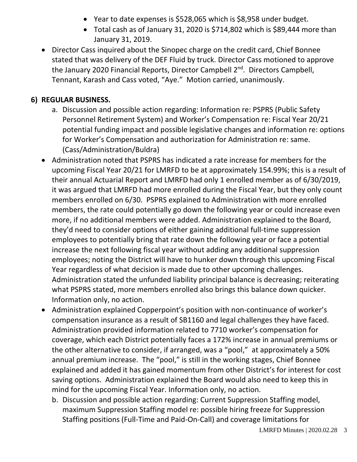- Year to date expenses is \$528,065 which is \$8,958 under budget.
- Total cash as of January 31, 2020 is \$714,802 which is \$89,444 more than January 31, 2019.
- Director Cass inquired about the Sinopec charge on the credit card, Chief Bonnee stated that was delivery of the DEF Fluid by truck. Director Cass motioned to approve the January 2020 Financial Reports, Director Campbell 2<sup>nd</sup>. Directors Campbell, Tennant, Karash and Cass voted, "Aye." Motion carried, unanimously.

#### **6) REGULAR BUSINESS.**

- a. Discussion and possible action regarding: Information re: PSPRS (Public Safety Personnel Retirement System) and Worker's Compensation re: Fiscal Year 20/21 potential funding impact and possible legislative changes and information re: options for Worker's Compensation and authorization for Administration re: same. (Cass/Administration/Buldra)
- Administration noted that PSPRS has indicated a rate increase for members for the upcoming Fiscal Year 20/21 for LMRFD to be at approximately 154.99%; this is a result of their annual Actuarial Report and LMRFD had only 1 enrolled member as of 6/30/2019, it was argued that LMRFD had more enrolled during the Fiscal Year, but they only count members enrolled on 6/30. PSPRS explained to Administration with more enrolled members, the rate could potentially go down the following year or could increase even more, if no additional members were added. Administration explained to the Board, they'd need to consider options of either gaining additional full-time suppression employees to potentially bring that rate down the following year or face a potential increase the next following fiscal year without adding any additional suppression employees; noting the District will have to hunker down through this upcoming Fiscal Year regardless of what decision is made due to other upcoming challenges. Administration stated the unfunded liability principal balance is decreasing; reiterating what PSPRS stated, more members enrolled also brings this balance down quicker. Information only, no action.
- Administration explained Copperpoint's position with non-continuance of worker's compensation insurance as a result of SB1160 and legal challenges they have faced. Administration provided information related to 7710 worker's compensation for coverage, which each District potentially faces a 172% increase in annual premiums or the other alternative to consider, if arranged, was a "pool," at approximately a 50% annual premium increase. The "pool," is still in the working stages, Chief Bonnee explained and added it has gained momentum from other District's for interest for cost saving options. Administration explained the Board would also need to keep this in mind for the upcoming Fiscal Year. Information only, no action.
	- b. Discussion and possible action regarding: Current Suppression Staffing model, maximum Suppression Staffing model re: possible hiring freeze for Suppression Staffing positions (Full-Time and Paid-On-Call) and coverage limitations for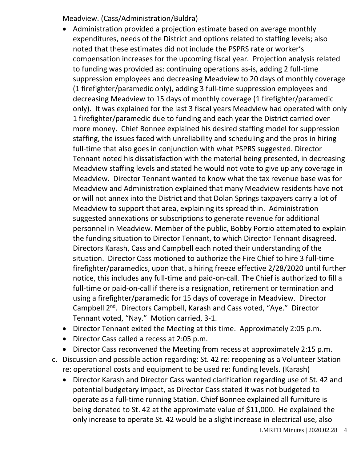Meadview. (Cass/Administration/Buldra)

- Administration provided a projection estimate based on average monthly expenditures, needs of the District and options related to staffing levels; also noted that these estimates did not include the PSPRS rate or worker's compensation increases for the upcoming fiscal year. Projection analysis related to funding was provided as: continuing operations as-is, adding 2 full-time suppression employees and decreasing Meadview to 20 days of monthly coverage (1 firefighter/paramedic only), adding 3 full-time suppression employees and decreasing Meadview to 15 days of monthly coverage (1 firefighter/paramedic only). It was explained for the last 3 fiscal years Meadview had operated with only 1 firefighter/paramedic due to funding and each year the District carried over more money. Chief Bonnee explained his desired staffing model for suppression staffing, the issues faced with unreliability and scheduling and the pros in hiring full-time that also goes in conjunction with what PSPRS suggested. Director Tennant noted his dissatisfaction with the material being presented, in decreasing Meadview staffing levels and stated he would not vote to give up any coverage in Meadview. Director Tennant wanted to know what the tax revenue base was for Meadview and Administration explained that many Meadview residents have not or will not annex into the District and that Dolan Springs taxpayers carry a lot of Meadview to support that area, explaining its spread thin. Administration suggested annexations or subscriptions to generate revenue for additional personnel in Meadview. Member of the public, Bobby Porzio attempted to explain the funding situation to Director Tennant, to which Director Tennant disagreed. Directors Karash, Cass and Campbell each noted their understanding of the situation. Director Cass motioned to authorize the Fire Chief to hire 3 full-time firefighter/paramedics, upon that, a hiring freeze effective 2/28/2020 until further notice, this includes any full-time and paid-on-call. The Chief is authorized to fill a full-time or paid-on-call if there is a resignation, retirement or termination and using a firefighter/paramedic for 15 days of coverage in Meadview. Director Campbell 2nd. Directors Campbell, Karash and Cass voted, "Aye." Director Tennant voted, "Nay." Motion carried, 3-1.
- Director Tennant exited the Meeting at this time. Approximately 2:05 p.m.
- Director Cass called a recess at 2:05 p.m.
- Director Cass reconvened the Meeting from recess at approximately 2:15 p.m.
- c. Discussion and possible action regarding: St. 42 re: reopening as a Volunteer Station re: operational costs and equipment to be used re: funding levels. (Karash)
	- Director Karash and Director Cass wanted clarification regarding use of St. 42 and potential budgetary impact, as Director Cass stated it was not budgeted to operate as a full-time running Station. Chief Bonnee explained all furniture is being donated to St. 42 at the approximate value of \$11,000. He explained the only increase to operate St. 42 would be a slight increase in electrical use, also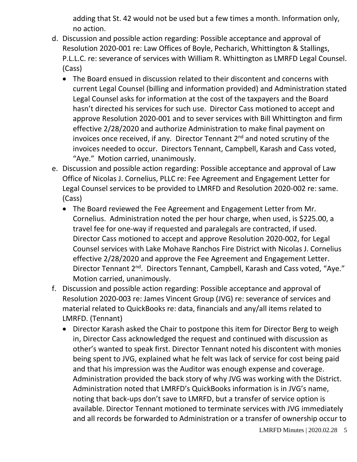adding that St. 42 would not be used but a few times a month. Information only, no action.

- d. Discussion and possible action regarding: Possible acceptance and approval of Resolution 2020-001 re: Law Offices of Boyle, Pecharich, Whittington & Stallings, P.L.L.C. re: severance of services with William R. Whittington as LMRFD Legal Counsel. (Cass)
	- The Board ensued in discussion related to their discontent and concerns with current Legal Counsel (billing and information provided) and Administration stated Legal Counsel asks for information at the cost of the taxpayers and the Board hasn't directed his services for such use. Director Cass motioned to accept and approve Resolution 2020-001 and to sever services with Bill Whittington and firm effective 2/28/2020 and authorize Administration to make final payment on invoices once received, if any. Director Tennant  $2^{nd}$  and noted scrutiny of the invoices needed to occur. Directors Tennant, Campbell, Karash and Cass voted, "Aye." Motion carried, unanimously.
- e. Discussion and possible action regarding: Possible acceptance and approval of Law Office of Nicolas J. Cornelius, PLLC re: Fee Agreement and Engagement Letter for Legal Counsel services to be provided to LMRFD and Resolution 2020-002 re: same. (Cass)
	- The Board reviewed the Fee Agreement and Engagement Letter from Mr. Cornelius. Administration noted the per hour charge, when used, is \$225.00, a travel fee for one-way if requested and paralegals are contracted, if used. Director Cass motioned to accept and approve Resolution 2020-002, for Legal Counsel services with Lake Mohave Ranchos Fire District with Nicolas J. Cornelius effective 2/28/2020 and approve the Fee Agreement and Engagement Letter. Director Tennant 2<sup>nd</sup>. Directors Tennant, Campbell, Karash and Cass voted, "Aye." Motion carried, unanimously.
- f. Discussion and possible action regarding: Possible acceptance and approval of Resolution 2020-003 re: James Vincent Group (JVG) re: severance of services and material related to QuickBooks re: data, financials and any/all items related to LMRFD. (Tennant)
	- Director Karash asked the Chair to postpone this item for Director Berg to weigh in, Director Cass acknowledged the request and continued with discussion as other's wanted to speak first. Director Tennant noted his discontent with monies being spent to JVG, explained what he felt was lack of service for cost being paid and that his impression was the Auditor was enough expense and coverage. Administration provided the back story of why JVG was working with the District. Administration noted that LMRFD's QuickBooks information is in JVG's name, noting that back-ups don't save to LMRFD, but a transfer of service option is available. Director Tennant motioned to terminate services with JVG immediately and all records be forwarded to Administration or a transfer of ownership occur to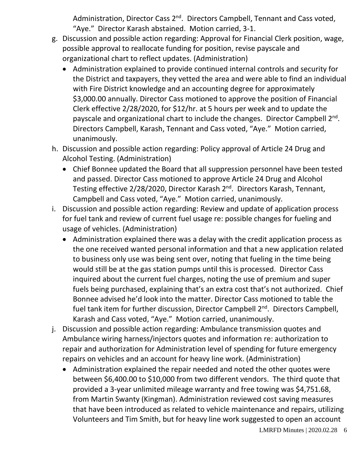Administration, Director Cass 2<sup>nd</sup>. Directors Campbell, Tennant and Cass voted, "Aye." Director Karash abstained. Motion carried, 3-1.

- g. Discussion and possible action regarding: Approval for Financial Clerk position, wage, possible approval to reallocate funding for position, revise payscale and organizational chart to reflect updates. (Administration)
	- Administration explained to provide continued internal controls and security for the District and taxpayers, they vetted the area and were able to find an individual with Fire District knowledge and an accounting degree for approximately \$3,000.00 annually. Director Cass motioned to approve the position of Financial Clerk effective 2/28/2020, for \$12/hr. at 5 hours per week and to update the payscale and organizational chart to include the changes. Director Campbell 2<sup>nd</sup>. Directors Campbell, Karash, Tennant and Cass voted, "Aye." Motion carried, unanimously.
- h. Discussion and possible action regarding: Policy approval of Article 24 Drug and Alcohol Testing. (Administration)
	- Chief Bonnee updated the Board that all suppression personnel have been tested and passed. Director Cass motioned to approve Article 24 Drug and Alcohol Testing effective 2/28/2020, Director Karash 2<sup>nd</sup>. Directors Karash, Tennant, Campbell and Cass voted, "Aye." Motion carried, unanimously.
- i. Discussion and possible action regarding: Review and update of application process for fuel tank and review of current fuel usage re: possible changes for fueling and usage of vehicles. (Administration)
	- Administration explained there was a delay with the credit application process as the one received wanted personal information and that a new application related to business only use was being sent over, noting that fueling in the time being would still be at the gas station pumps until this is processed. Director Cass inquired about the current fuel charges, noting the use of premium and super fuels being purchased, explaining that's an extra cost that's not authorized. Chief Bonnee advised he'd look into the matter. Director Cass motioned to table the fuel tank item for further discussion, Director Campbell 2<sup>nd</sup>. Directors Campbell, Karash and Cass voted, "Aye." Motion carried, unanimously.
- j. Discussion and possible action regarding: Ambulance transmission quotes and Ambulance wiring harness/injectors quotes and information re: authorization to repair and authorization for Administration level of spending for future emergency repairs on vehicles and an account for heavy line work. (Administration)
	- Administration explained the repair needed and noted the other quotes were between \$6,400.00 to \$10,000 from two different vendors. The third quote that provided a 3-year unlimited mileage warranty and free towing was \$4,751.68, from Martin Swanty (Kingman). Administration reviewed cost saving measures that have been introduced as related to vehicle maintenance and repairs, utilizing Volunteers and Tim Smith, but for heavy line work suggested to open an account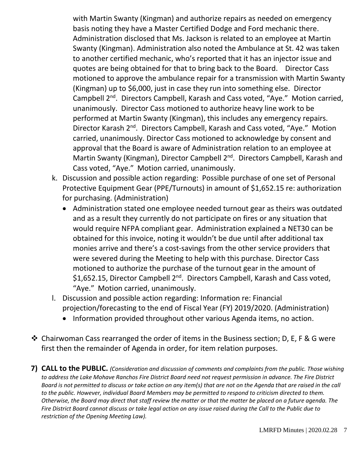with Martin Swanty (Kingman) and authorize repairs as needed on emergency basis noting they have a Master Certified Dodge and Ford mechanic there. Administration disclosed that Ms. Jackson is related to an employee at Martin Swanty (Kingman). Administration also noted the Ambulance at St. 42 was taken to another certified mechanic, who's reported that it has an injector issue and quotes are being obtained for that to bring back to the Board. Director Cass motioned to approve the ambulance repair for a transmission with Martin Swanty (Kingman) up to \$6,000, just in case they run into something else. Director Campbell 2nd. Directors Campbell, Karash and Cass voted, "Aye." Motion carried, unanimously. Director Cass motioned to authorize heavy line work to be performed at Martin Swanty (Kingman), this includes any emergency repairs. Director Karash 2<sup>nd</sup>. Directors Campbell, Karash and Cass voted, "Aye." Motion carried, unanimously. Director Cass motioned to acknowledge by consent and approval that the Board is aware of Administration relation to an employee at Martin Swanty (Kingman), Director Campbell 2<sup>nd</sup>. Directors Campbell, Karash and Cass voted, "Aye." Motion carried, unanimously.

- k. Discussion and possible action regarding: Possible purchase of one set of Personal Protective Equipment Gear (PPE/Turnouts) in amount of \$1,652.15 re: authorization for purchasing. (Administration)
	- Administration stated one employee needed turnout gear as theirs was outdated and as a result they currently do not participate on fires or any situation that would require NFPA compliant gear. Administration explained a NET30 can be obtained for this invoice, noting it wouldn't be due until after additional tax monies arrive and there's a cost-savings from the other service providers that were severed during the Meeting to help with this purchase. Director Cass motioned to authorize the purchase of the turnout gear in the amount of \$1,652.15, Director Campbell 2<sup>nd</sup>. Directors Campbell, Karash and Cass voted, "Aye." Motion carried, unanimously.
- l. Discussion and possible action regarding: Information re: Financial projection/forecasting to the end of Fiscal Year (FY) 2019/2020. (Administration)
	- Information provided throughout other various Agenda items, no action.
- ❖ Chairwoman Cass rearranged the order of items in the Business section; D, E, F & G were first then the remainder of Agenda in order, for item relation purposes.

**7) CALL to the PUBLIC.** *(Consideration and discussion of comments and complaints from the public. Those wishing to address the Lake Mohave Ranchos Fire District Board need not request permission in advance. The Fire District Board is not permitted to discuss or take action on any item(s) that are not on the Agenda that are raised in the call to the public. However, individual Board Members may be permitted to respond to criticism directed to them. Otherwise, the Board may direct that staff review the matter or that the matter be placed on a future agenda. The Fire District Board cannot discuss or take legal action on any issue raised during the Call to the Public due to restriction of the Opening Meeting Law).*